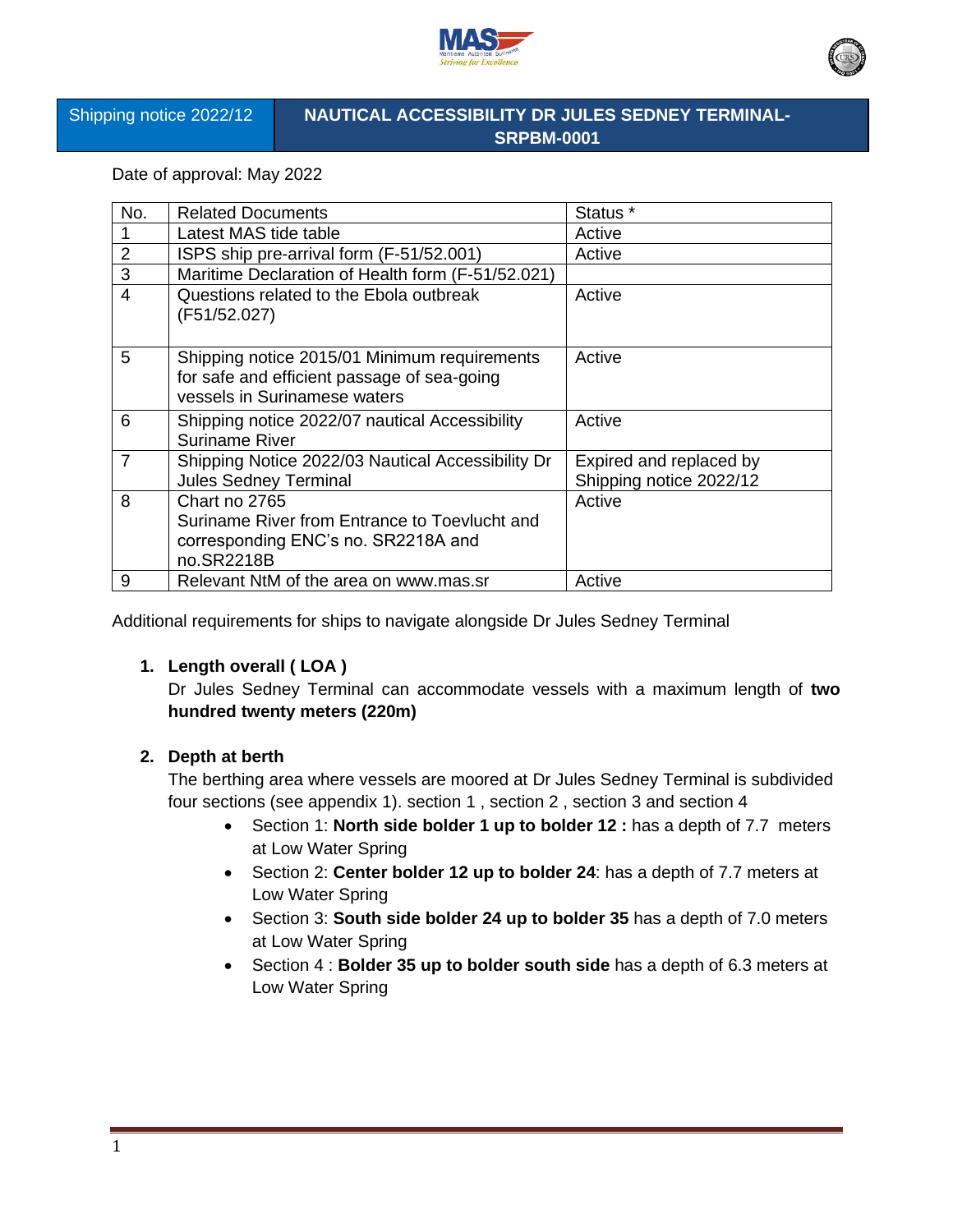



Shipping notice 2022/12

# **NAUTICAL ACCESSIBILITY DR JULES SEDNEY TERMINAL-SRPBM-0001**

Date of approval: May 2022

| No.            | <b>Related Documents</b>                                                                                                    | Status <sup>*</sup>                                |
|----------------|-----------------------------------------------------------------------------------------------------------------------------|----------------------------------------------------|
|                | Latest MAS tide table                                                                                                       | Active                                             |
| $\overline{2}$ | ISPS ship pre-arrival form (F-51/52.001)                                                                                    | Active                                             |
| 3              | Maritime Declaration of Health form (F-51/52.021)                                                                           |                                                    |
| $\overline{4}$ | Questions related to the Ebola outbreak<br>(F51/52.027)                                                                     | Active                                             |
| 5              | Shipping notice 2015/01 Minimum requirements<br>for safe and efficient passage of sea-going<br>vessels in Surinamese waters | Active                                             |
| 6              | Shipping notice 2022/07 nautical Accessibility<br>Suriname River                                                            | Active                                             |
| $\overline{7}$ | Shipping Notice 2022/03 Nautical Accessibility Dr<br><b>Jules Sedney Terminal</b>                                           | Expired and replaced by<br>Shipping notice 2022/12 |
| 8              | Chart no 2765<br>Suriname River from Entrance to Toevlucht and<br>corresponding ENC's no. SR2218A and<br>no.SR2218B         | Active                                             |
| 9              | Relevant NtM of the area on www.mas.sr                                                                                      | Active                                             |

Additional requirements for ships to navigate alongside Dr Jules Sedney Terminal

# **1. Length overall ( LOA )**

Dr Jules Sedney Terminal can accommodate vessels with a maximum length of **two hundred twenty meters (220m)**

# **2. Depth at berth**

The berthing area where vessels are moored at Dr Jules Sedney Terminal is subdivided four sections (see appendix 1). section 1 , section 2 , section 3 and section 4

- Section 1: **North side bolder 1 up to bolder 12 :** has a depth of 7.7 meters at Low Water Spring
- Section 2: **Center bolder 12 up to bolder 24**: has a depth of 7.7 meters at Low Water Spring
- Section 3: **South side bolder 24 up to bolder 35** has a depth of 7.0 meters at Low Water Spring
- Section 4 : **Bolder 35 up to bolder south side** has a depth of 6.3 meters at Low Water Spring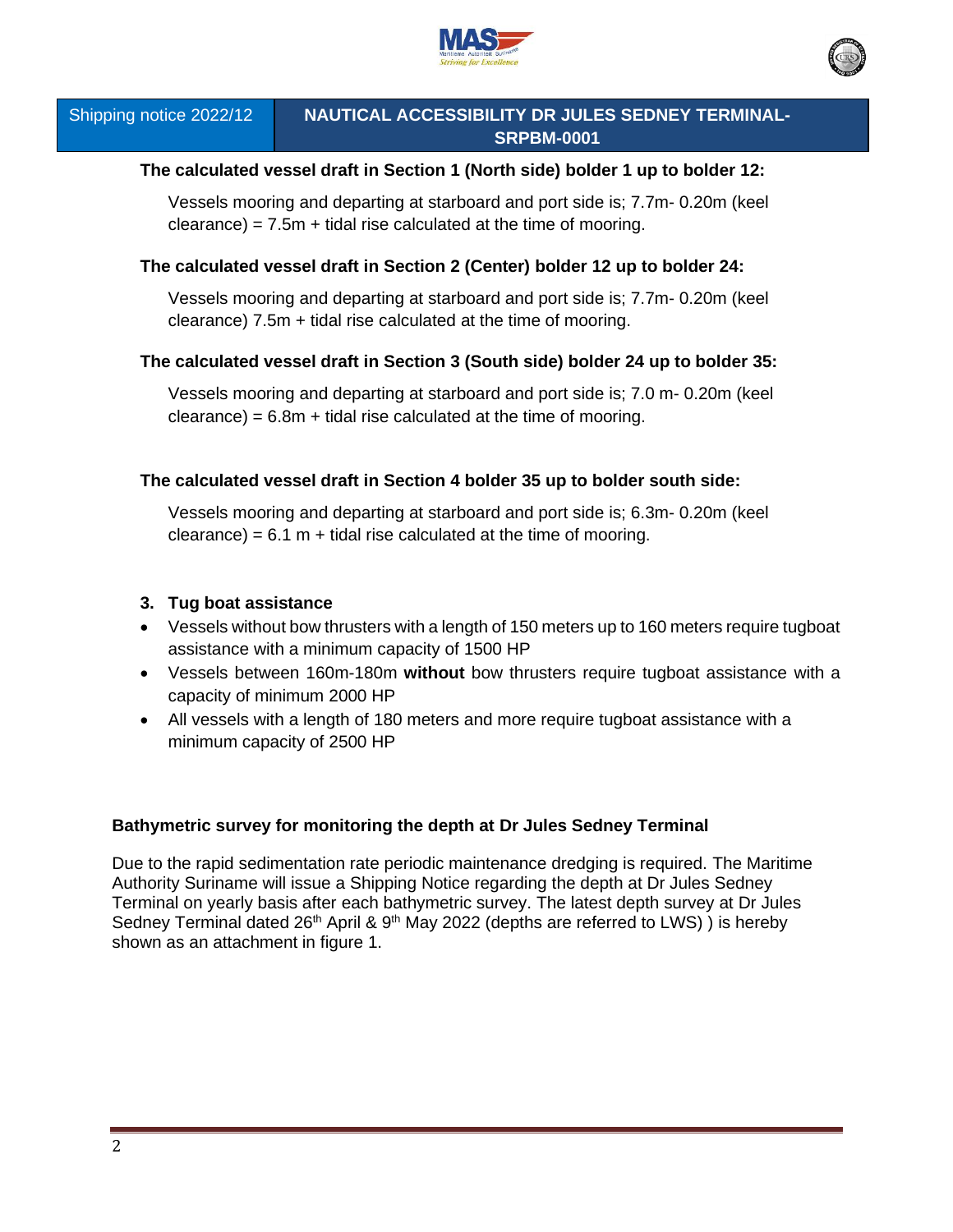



Shipping notice 2022/12

# **NAUTICAL ACCESSIBILITY DR JULES SEDNEY TERMINAL-SRPBM-0001**

# **The calculated vessel draft in Section 1 (North side) bolder 1 up to bolder 12:**

Vessels mooring and departing at starboard and port side is; 7.7m- 0.20m (keel  $cleance) = 7.5m + tidal rise calculated at the time of moving.$ 

### **The calculated vessel draft in Section 2 (Center) bolder 12 up to bolder 24:**

Vessels mooring and departing at starboard and port side is; 7.7m- 0.20m (keel clearance) 7.5m + tidal rise calculated at the time of mooring.

#### **The calculated vessel draft in Section 3 (South side) bolder 24 up to bolder 35:**

Vessels mooring and departing at starboard and port side is; 7.0 m- 0.20m (keel  $cleance) = 6.8m + tidal rise calculated at the time of moving.$ 

#### **The calculated vessel draft in Section 4 bolder 35 up to bolder south side:**

Vessels mooring and departing at starboard and port side is; 6.3m- 0.20m (keel  $cleance) = 6.1 m + tidal rise calculated at the time of moving.$ 

#### **3. Tug boat assistance**

- Vessels without bow thrusters with a length of 150 meters up to 160 meters require tugboat assistance with a minimum capacity of 1500 HP
- Vessels between 160m-180m **without** bow thrusters require tugboat assistance with a capacity of minimum 2000 HP
- All vessels with a length of 180 meters and more require tugboat assistance with a minimum capacity of 2500 HP

# **Bathymetric survey for monitoring the depth at Dr Jules Sedney Terminal**

Due to the rapid sedimentation rate periodic maintenance dredging is required. The Maritime Authority Suriname will issue a Shipping Notice regarding the depth at Dr Jules Sedney Terminal on yearly basis after each bathymetric survey. The latest depth survey at Dr Jules Sedney Terminal dated  $26<sup>th</sup>$  April & 9<sup>th</sup> May 2022 (depths are referred to LWS)) is hereby shown as an attachment in figure 1.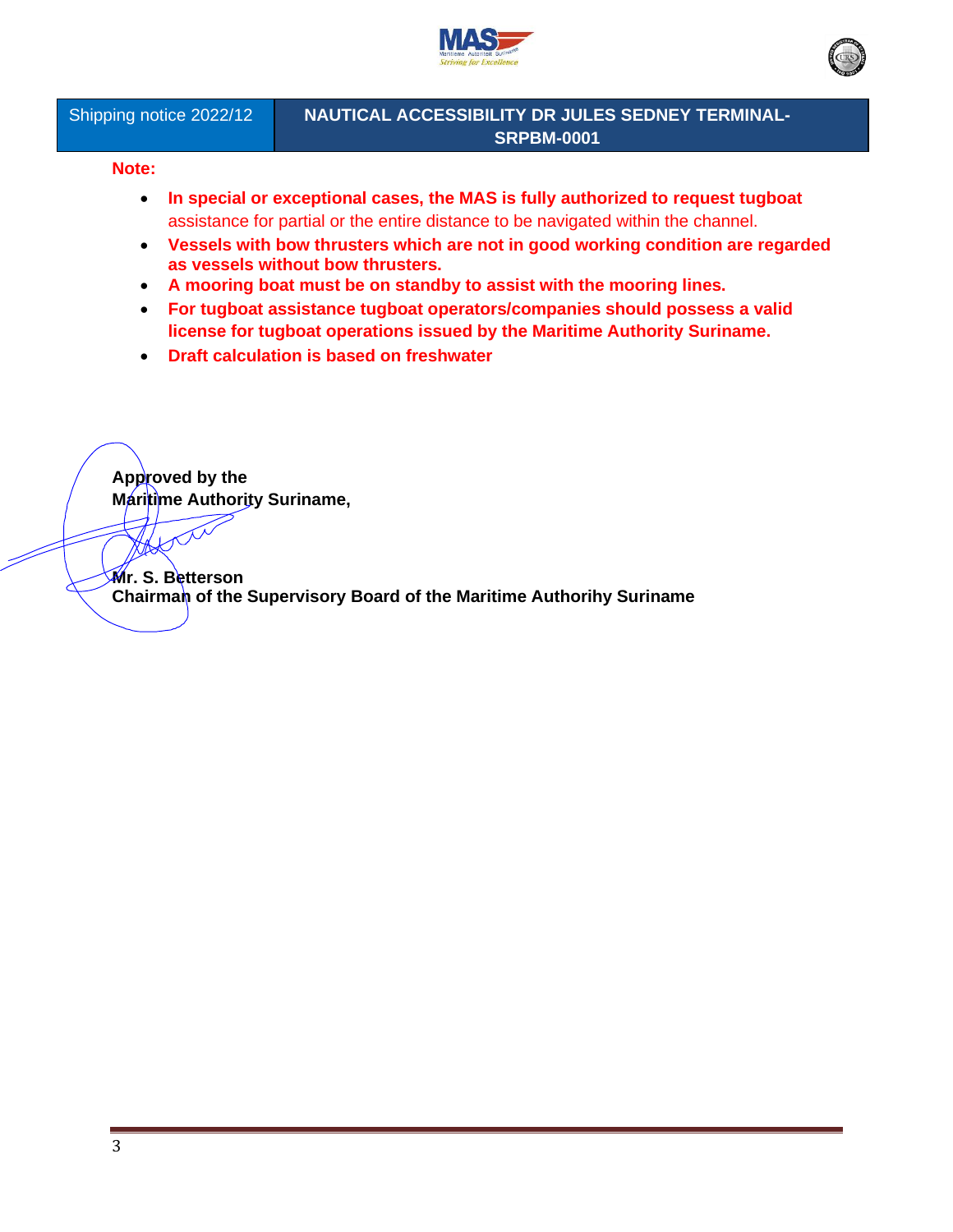



Shipping notice 2022/12

# **NAUTICAL ACCESSIBILITY DR JULES SEDNEY TERMINAL-SRPBM-0001**

#### **Note:**

- **In special or exceptional cases, the MAS is fully authorized to request tugboat**  assistance for partial or the entire distance to be navigated within the channel.
- **Vessels with bow thrusters which are not in good working condition are regarded as vessels without bow thrusters.**
- **A mooring boat must be on standby to assist with the mooring lines.**
- **For tugboat assistance tugboat operators/companies should possess a valid license for tugboat operations issued by the Maritime Authority Suriname.**
- **Draft calculation is based on freshwater**

**Approved by the Maritime Authority Suriname,**

**Mr. S. Betterson Chairman of the Supervisory Board of the Maritime Authorihy Suriname**